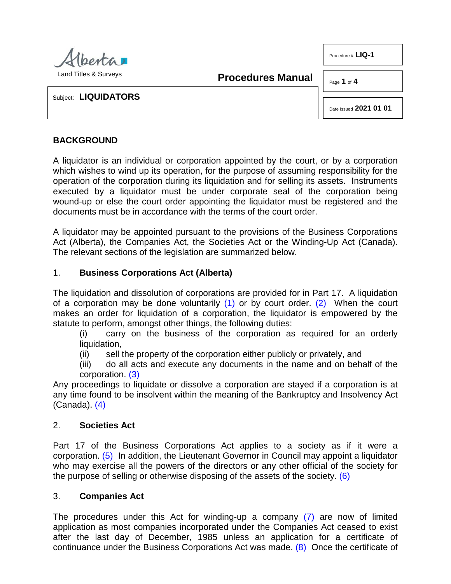

**Procedures Manual**

Page **1** of **4** 

Procedure # **LIQ-1**

Subject: **LIQUIDATORS**

<span id="page-0-1"></span>Date Issued **2021 01 01**

## **BACKGROUND**

A liquidator is an individual or corporation appointed by the court, or by a corporation which wishes to wind up its operation, for the purpose of assuming responsibility for the operation of the corporation during its liquidation and for selling its assets. Instruments executed by a liquidator must be under corporate seal of the corporation being wound-up or else the court order appointing the liquidator must be registered and the documents must be in accordance with the terms of the court order.

A liquidator may be appointed pursuant to the provisions of the Business Corporations Act (Alberta), the Companies Act, the Societies Act or the Winding-Up Act (Canada). The relevant sections of the legislation are summarized below.

### 1. **Business Corporations Act (Alberta)**

The liquidation and dissolution of corporations are provided for in Part 17. A liquidation of a corporation may be done voluntarily  $(1)$  or by court order.  $(2)$  When the court makes an order for liquidation of a corporation, the liquidator is empowered by the statute to perform, amongst other things, the following duties:

<span id="page-0-0"></span>(i) carry on the business of the corporation as required for an orderly

- liquidation,<br>(ii) sell t sell the property of the corporation either publicly or privately, and
- <span id="page-0-3"></span><span id="page-0-2"></span>(iii) do all acts and execute any documents in the name and on behalf of the corporation. [\(3\)](#page-3-2)

Any proceedings to liquidate or dissolve a corporation are stayed if a corporation is at any time found to be insolvent within the meaning of the Bankruptcy and Insolvency Act (Canada). [\(4\)](#page-3-3)

#### 2. **Societies Act**

<span id="page-0-4"></span>Part 17 of the Business Corporations Act applies to a society as if it were a corporation. [\(5\)](#page-3-4) In addition, the Lieutenant Governor in Council may appoint a liquidator who may exercise all the powers of the directors or any other official of the society for the purpose of selling or otherwise disposing of the assets of the society. [\(6\)](#page-3-5)

#### <span id="page-0-5"></span>3. **Companies Act**

<span id="page-0-7"></span><span id="page-0-6"></span>The procedures under this Act for winding-up a company [\(7\)](#page-3-6) are now of limited application as most companies incorporated under the Companies Act ceased to exist after the last day of December, 1985 unless an application for a certificate of continuance under the Business Corporations Act was made. [\(8\)](#page-3-7) Once the certificate of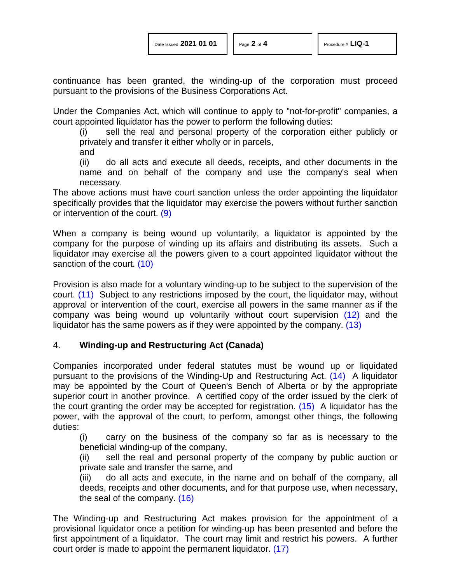continuance has been granted, the winding-up of the corporation must proceed pursuant to the provisions of the Business Corporations Act.

Under the Companies Act, which will continue to apply to "not-for-profit" companies, a court appointed liquidator has the power to perform the following duties:

(i) sell the real and personal property of the corporation either publicly or privately and transfer it either wholly or in parcels,

and

<span id="page-1-0"></span>(ii) do all acts and execute all deeds, receipts, and other documents in the name and on behalf of the company and use the company's seal when necessary.

The above actions must have court sanction unless the order appointing the liquidator specifically provides that the liquidator may exercise the powers without further sanction or intervention of the court. [\(9\)](#page-3-8)

When a company is being wound up voluntarily, a liquidator is appointed by the company for the purpose of winding up its affairs and distributing its assets. Such a liquidator may exercise all the powers given to a court appointed liquidator without the sanction of the court. [\(10\)](#page-3-9)

<span id="page-1-2"></span><span id="page-1-1"></span>Provision is also made for a voluntary winding-up to be subject to the supervision of the court. [\(11\)](#page-3-10) Subject to any restrictions imposed by the court, the liquidator may, without approval or intervention of the court, exercise all powers in the same manner as if the company was being wound up voluntarily without court supervision [\(12\)](#page-3-11) and the liquidator has the same powers as if they were appointed by the company. [\(13\)](#page-3-12)

### 4. **Winding-up and Restructuring Act (Canada)**

Companies incorporated under federal statutes must be wound up or liquidated pursuant to the provisions of the Winding-Up and Restructuring Act. [\(14\)](#page-3-13) A liquidator may be appointed by the Court of Queen's Bench of Alberta or by the appropriate superior court in another province. A certified copy of the order issued by the clerk of the court granting the order may be accepted for registration. [\(15\)](#page-3-14) A liquidator has the power, with the approval of the court, to perform, amongst other things, the following duties:

<span id="page-1-6"></span><span id="page-1-5"></span><span id="page-1-4"></span><span id="page-1-3"></span>(i) carry on the business of the company so far as is necessary to the beneficial winding-up of the company,

(ii) sell the real and personal property of the company by public auction or private sale and transfer the same, and

<span id="page-1-8"></span><span id="page-1-7"></span>(iii) do all acts and execute, in the name and on behalf of the company, all deeds, receipts and other documents, and for that purpose use, when necessary, the seal of the company. [\(16\)](#page-3-15)

The Winding-up and Restructuring Act makes provision for the appointment of a provisional liquidator once a petition for winding-up has been presented and before the first appointment of a liquidator. The court may limit and restrict his powers. A further court order is made to appoint the permanent liquidator. [\(17\)](#page-3-16)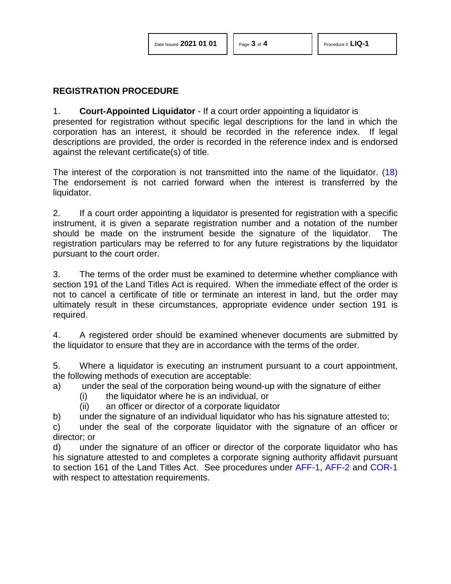### **REGISTRATION PROCEDURE**

#### 1. **Court-Appointed Liquidator** - If a court order appointing a liquidator is

presented for registration without specific legal descriptions for the land in which the corporation has an interest, it should be recorded in the reference index. If legal descriptions are provided, the order is recorded in the reference index and is endorsed against the relevant certificate(s) of title.

<span id="page-2-0"></span>The interest of the corporation is not transmitted into the name of the liquidator. [\(18\)](#page-3-17)  The endorsement is not carried forward when the interest is transferred by the liquidator.

2. If a court order appointing a liquidator is presented for registration with a specific instrument, it is given a separate registration number and a notation of the number should be made on the instrument beside the signature of the liquidator. The registration particulars may be referred to for any future registrations by the liquidator pursuant to the court order.

3. The terms of the order must be examined to determine whether compliance with section 191 of the Land Titles Act is required. When the immediate effect of the order is not to cancel a certificate of title or terminate an interest in land, but the order may ultimately result in these circumstances, appropriate evidence under section 191 is required.

4. A registered order should be examined whenever documents are submitted by the liquidator to ensure that they are in accordance with the terms of the order.

5. Where a liquidator is executing an instrument pursuant to a court appointment, the following methods of execution are acceptable:

a) under the seal of the corporation being wound-up with the signature of either

- (i) the liquidator where he is an individual, or
- (ii) an officer or director of a corporate liquidator
- b) under the signature of an individual liquidator who has his signature attested to;

c) under the seal of the corporate liquidator with the signature of an officer or director; or

d) under the signature of an officer or director of the corporate liquidator who has his signature attested to and completes a corporate signing authority affidavit pursuant to section 161 of the Land Titles Act. See procedures under [AFF-1,](http://www.servicealberta.ca/pdf/ltmanual/AFF-1.pdf) [AFF-2](http://www.servicealberta.ca/pdf/ltmanual/AFF-2.pdf) and [COR-1](http://www.servicealberta.ca/pdf/ltmanual/COR-1.pdf) with respect to attestation requirements.